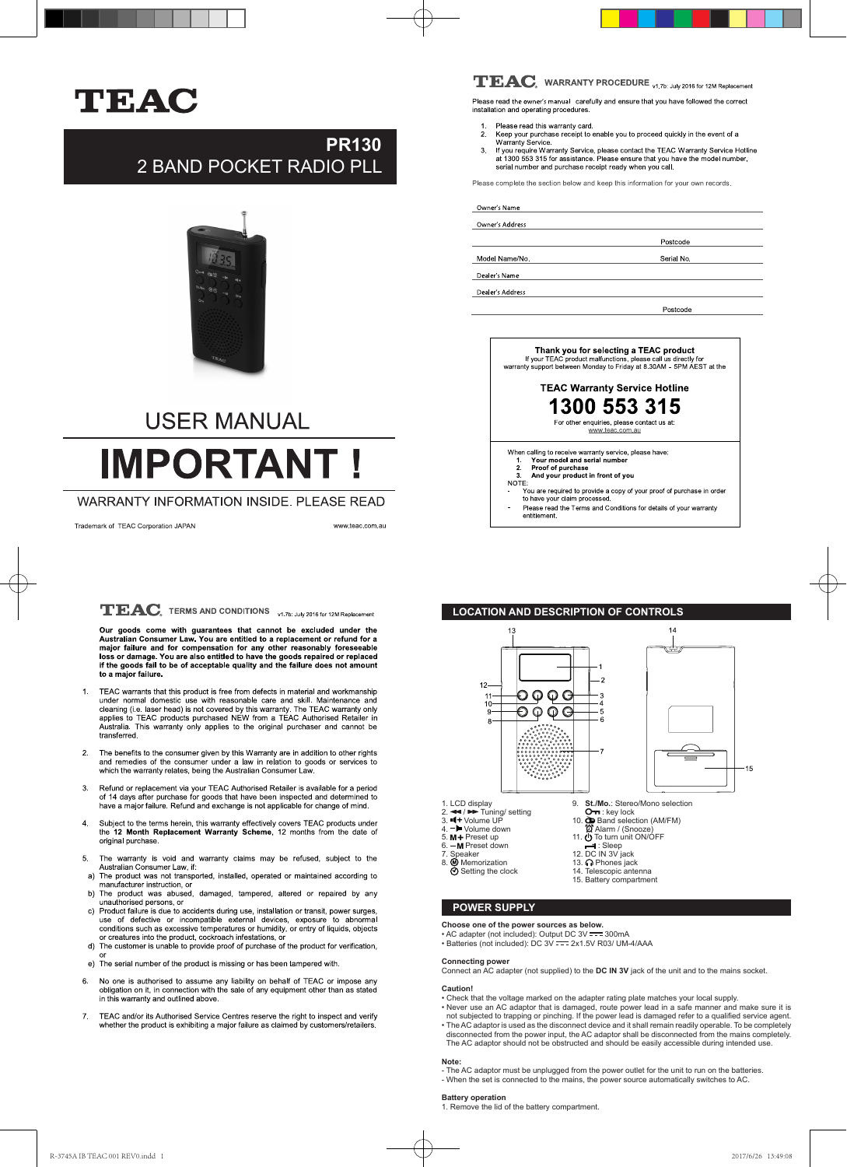

# **PR130** 2 BAND POCKET RADIO PLL



# **USER MANUAL IMPORTANT**

# WARRANTY INFORMATION INSIDE. PLEASE READ

Trademark of TEAC Corporation JAPAN

www.teac.com.au

# $\mathbf{TEAC}_{\scriptscriptstyle{\text{s}}}$  TERMS AND CONDITIONS  $_{\color{red}\text{v1.Tb: July 2016 for 12M Replacement}}$

Our goods come with guarantees that cannot be excluded under the Australian Consumer Law. You are entitled to a replacement or refund for a major failure and for compensation for any other reasonably foreseeable loss or da to a major failure.

- TEAC warrants that this product is free from defects in material and workmanship<br>under normal domestic use with reasonable care and skill. Maintenance and<br>cleaning (i.e. laser head) is not covered by this warranty. The TEA
- 2. The benefits to the consumer given by this Warranty are in addition to other rights and remedies of the consumer under a law in relation to goods or services to which the warranty relates, being the Australian Consumer
- Refund or replacement via your TEAC Authorised Retailer is available for a period<br>of 14 days after purchase for goods that have been inspected and determined to<br>have a major failure. Refund and exchange is not applicable f 3.
- Subject to the terms herein, this warranty effectively covers TEAC products under the 12 Month Replacement Warranty Scheme, 12 months from the date of 4. original purchase.
- 5. The warranty is void and warranty claims may be refused, subject to the Australian Consumer Law, if: a) The product was not transported, installed, operated or maintained according to 5.
- manufacturer instruction, or
- b) The product was abused, damaged, tampered, altered or repaired by any unauthorised persons, or<br>c) Product failure is due to accidents during use, installation or transit, power surges,
- The condition such that the performal devices, exposure to abnormal<br>conditions such as excessive temperatures or humidity, or entry of liquids, objects<br>or creatures into the product, cockroach infestations, or<br>d) The custo
- e) The serial number of the product is missing or has been tampered with.
- No one is authorised to assume any liability on behalf of TEAC or impose any obligation on it, in connection with the sale of any equipment other than as stated 6. in this warranty and outlined above
- TEAC and/or its Authorised Service Centres reserve the right to inspect and verify 7. whether the product is exhibiting a major failure as claimed by customers/retailers.

# $\mathbf{TEAC}_{\scriptscriptstyle{\text{s}}}$  WARRANTY PROCEDURE <sub>V1.7b: July 2016 for 12M Replacement</sub>

Please read the owner's manual carefully and ensure that you have followed the correct<br>installation and operating procedures.

- Please read this warranty card.  $\overline{2}$ 
	-
- Please read this warranty card.<br>
Keep your purchase receipt to enable you to proceed quickly in the event of a<br>
Warranty Service.<br>
If you require Warranty Service, please contact the TEAC Warranty Service Hotline<br>
at 1300  $\overline{a}$

Please complete the section below and keep this information for your own records

### Owner's Name

Owner's Address

Model Name/No

Dealer's Name

Dealer's Address

Postcode

Postcode

Serial No.



# **LOCATION AND DESCRIPTION OF CONTROLS**



### **POWER SUPPLY**

- 
- 
- **Choose one of the power sources as below.**<br>• AC adapter (not included): Output DC 3V <del>- -</del> 300mA<br>• Batteries (not included): DC 3V <del>- -</del> 2x1.5V R03/ UM-4/AAA

**Connecting power** Connect an AC adapter (not supplied) to the **DC IN 3V** jack of the unit and to the mains socket.

#### **Caution!**

- Check that the voltage marked on the adapter rating plate matches your local supply.
- 
- Never use an AC adaptor that is damaged, route power lead in a safe manner and make sure it is<br>not subjected to trapping or pinching. If the power lead is damaged refer to a qualified service agent.<br>• The AC adaptor is u disconnected from the power input, the AC adaptor shall be disconnected from the mains completely.
- The AC adaptor should not be obstructed and should be easily accessible during intended use.

# **Note:**

- The AC adaptor must be unplugged from the power outlet for the unit to run on the batteries - When the set is connected to the mains, the power source automatically switches to AC.

#### **Battery operation**

1. Remove the lid of the battery compartment.